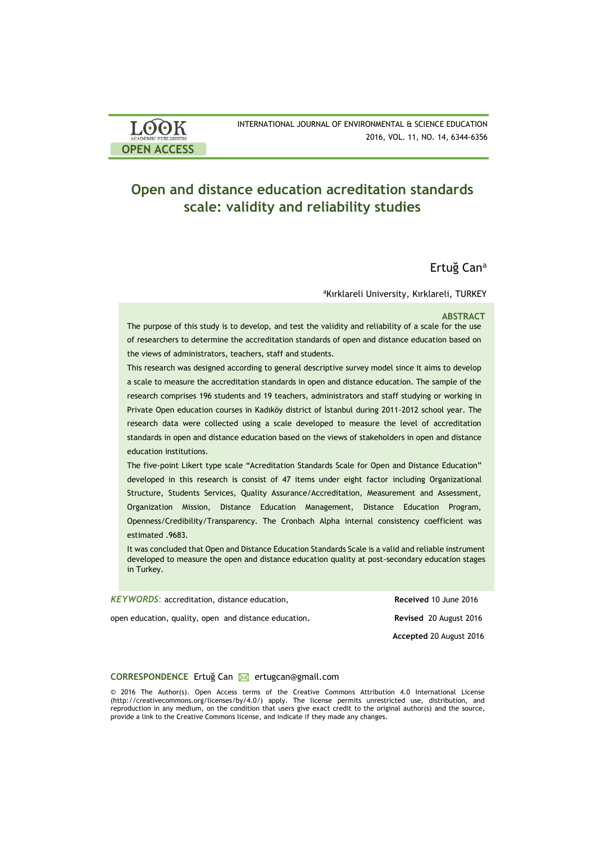| <b>LOOK</b>                | INTERNATIONAL JOURNAL OF ENVIRONMENTAL & SCIENCE EDUCATION |
|----------------------------|------------------------------------------------------------|
| <b>ACADEMIC PUBLISHERS</b> | 2016, VOL. 11, NO. 14, 6344-6356                           |
| <b>OPEN ACCESS</b>         |                                                            |

# **Open and distance education acreditation standards scale: validity and reliability studies**

# Ertuğ Can**<sup>a</sup>**

<sup>a</sup>Kırklareli University, Kırklareli, TURKEY

#### **ABSTRACT**

The purpose of this study is to develop, and test the validity and reliability of a scale for the use of researchers to determine the accreditation standards of open and distance education based on the views of administrators, teachers, staff and students.

This research was designed according to general descriptive survey model since it aims to develop a scale to measure the accreditation standards in open and distance education. The sample of the research comprises 196 students and 19 teachers, administrators and staff studying or working in Private Open education courses in Kadıköy district of İstanbul during 2011-2012 school year. The research data were collected using a scale developed to measure the level of accreditation standards in open and distance education based on the views of stakeholders in open and distance education institutions.

The five-point Likert type scale "Acreditation Standards Scale for Open and Distance Education" developed in this research is consist of 47 items under eight factor including Organizational Structure, Students Services, Quality Assurance/Accreditation, Measurement and Assessment, Organization Mission, Distance Education Management, Distance Education Program, Openness/Credibility/Transparency. The Cronbach Alpha internal consistency coefficient was estimated .9683.

It was concluded that Open and Distance Education Standards Scale is a valid and reliable instrument developed to measure the open and distance education quality at post-secondary education stages in Turkey.

| <b>KEYWORDS:</b> accreditation, distance education,   | Received 10 June 2016   |
|-------------------------------------------------------|-------------------------|
| open education, quality, open and distance education. | Revised 20 August 2016  |
|                                                       | Accepted 20 August 2016 |

#### **CORRESPONDENCE** Ertuğ Can ⊠ ertugcan@gmail.com

© 2016 The Author(s). Open Access terms of the Creative Commons Attribution 4.0 International License (http://creativecommons.org/licenses/by/4.0/) apply. The license permits unrestricted use, distribution, and reproduction in any medium, on the condition that users give exact credit to the original author(s) and the source, provide a link to the Creative Commons license, and indicate if they made any changes.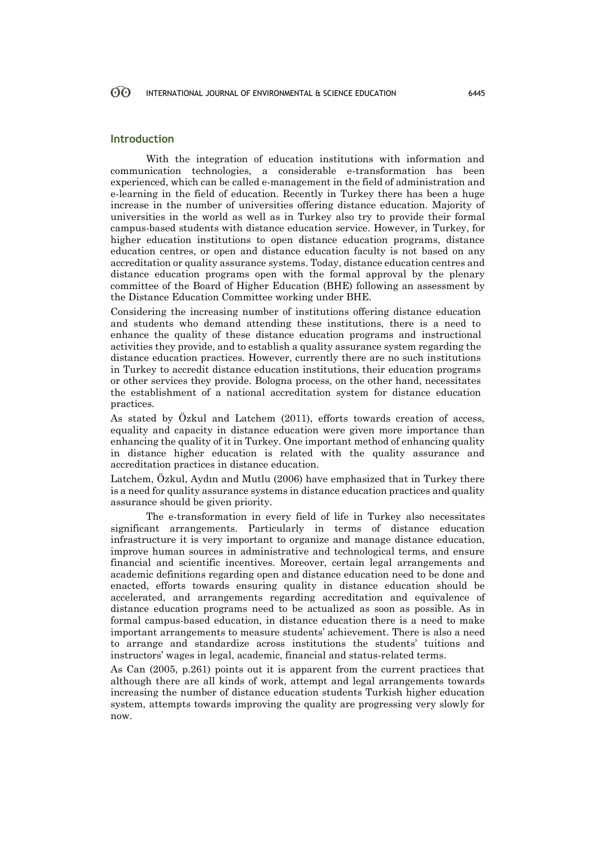# **Introduction**

With the integration of education institutions with information and communication technologies, a considerable e-transformation has been experienced, which can be called e-management in the field of administration and e-learning in the field of education. Recently in Turkey there has been a huge increase in the number of universities offering distance education. Majority of universities in the world as well as in Turkey also try to provide their formal campus-based students with distance education service. However, in Turkey, for higher education institutions to open distance education programs, distance education centres, or open and distance education faculty is not based on any accreditation or quality assurance systems. Today, distance education centres and distance education programs open with the formal approval by the plenary committee of the Board of Higher Education (BHE) following an assessment by the Distance Education Committee working under BHE.

Considering the increasing number of institutions offering distance education and students who demand attending these institutions, there is a need to enhance the quality of these distance education programs and instructional activities they provide, and to establish a quality assurance system regarding the distance education practices. However, currently there are no such institutions in Turkey to accredit distance education institutions, their education programs or other services they provide. Bologna process, on the other hand, necessitates the establishment of a national accreditation system for distance education practices.

As stated by Özkul and Latchem (2011), efforts towards creation of access, equality and capacity in distance education were given more importance than enhancing the quality of it in Turkey. One important method of enhancing quality in distance higher education is related with the quality assurance and accreditation practices in distance education.

Latchem, Özkul, Aydın and Mutlu (2006) have emphasized that in Turkey there is a need for quality assurance systems in distance education practices and quality assurance should be given priority.

The e-transformation in every field of life in Turkey also necessitates significant arrangements. Particularly in terms of distance education infrastructure it is very important to organize and manage distance education, improve human sources in administrative and technological terms, and ensure financial and scientific incentives. Moreover, certain legal arrangements and academic definitions regarding open and distance education need to be done and enacted, efforts towards ensuring quality in distance education should be accelerated, and arrangements regarding accreditation and equivalence of distance education programs need to be actualized as soon as possible. As in formal campus-based education, in distance education there is a need to make important arrangements to measure students' achievement. There is also a need to arrange and standardize across institutions the students' tuitions and instructors' wages in legal, academic, financial and status-related terms.

As Can (2005, p.261) points out it is apparent from the current practices that although there are all kinds of work, attempt and legal arrangements towards increasing the number of distance education students Turkish higher education system, attempts towards improving the quality are progressing very slowly for now.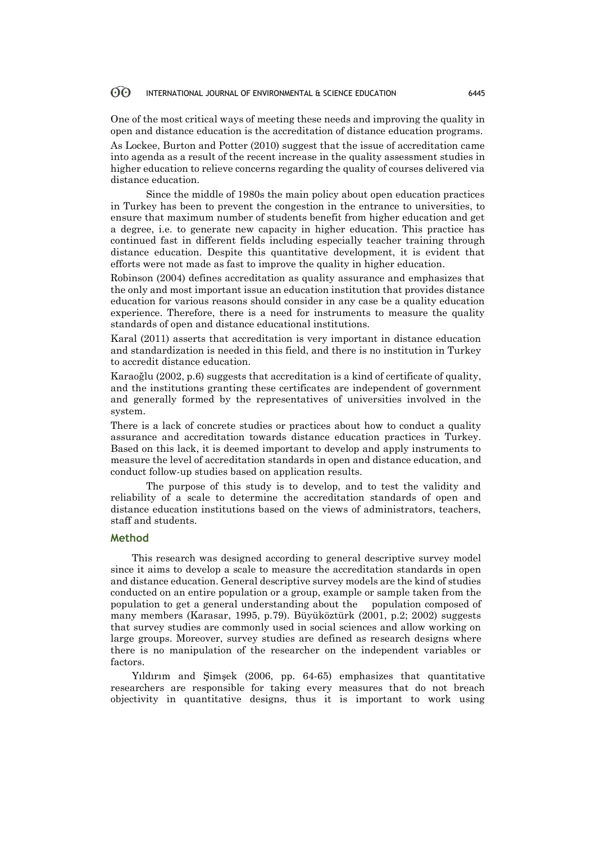One of the most critical ways of meeting these needs and improving the quality in open and distance education is the accreditation of distance education programs.

As Lockee, Burton and Potter (2010) suggest that the issue of accreditation came into agenda as a result of the recent increase in the quality assessment studies in higher education to relieve concerns regarding the quality of courses delivered via distance education.

Since the middle of 1980s the main policy about open education practices in Turkey has been to prevent the congestion in the entrance to universities, to ensure that maximum number of students benefit from higher education and get a degree, i.e. to generate new capacity in higher education. This practice has continued fast in different fields including especially teacher training through distance education. Despite this quantitative development, it is evident that efforts were not made as fast to improve the quality in higher education.

Robinson (2004) defines accreditation as quality assurance and emphasizes that the only and most important issue an education institution that provides distance education for various reasons should consider in any case be a quality education experience. Therefore, there is a need for instruments to measure the quality standards of open and distance educational institutions.

Karal (2011) asserts that accreditation is very important in distance education and standardization is needed in this field, and there is no institution in Turkey to accredit distance education.

Karaoğlu (2002, p.6) suggests that accreditation is a kind of certificate of quality, and the institutions granting these certificates are independent of government and generally formed by the representatives of universities involved in the system.

There is a lack of concrete studies or practices about how to conduct a quality assurance and accreditation towards distance education practices in Turkey. Based on this lack, it is deemed important to develop and apply instruments to measure the level of accreditation standards in open and distance education, and conduct follow-up studies based on application results.

The purpose of this study is to develop, and to test the validity and reliability of a scale to determine the accreditation standards of open and distance education institutions based on the views of administrators, teachers, staff and students.

### **Method**

This research was designed according to general descriptive survey model since it aims to develop a scale to measure the accreditation standards in open and distance education. General descriptive survey models are the kind of studies conducted on an entire population or a group, example or sample taken from the population to get a general understanding about the population composed of many members (Karasar, 1995, p.79). Büyüköztürk (2001, p.2; 2002) suggests that survey studies are commonly used in social sciences and allow working on large groups. Moreover, survey studies are defined as research designs where there is no manipulation of the researcher on the independent variables or factors.

Yıldırım and Şimşek (2006, pp. 64-65) emphasizes that quantitative researchers are responsible for taking every measures that do not breach objectivity in quantitative designs, thus it is important to work using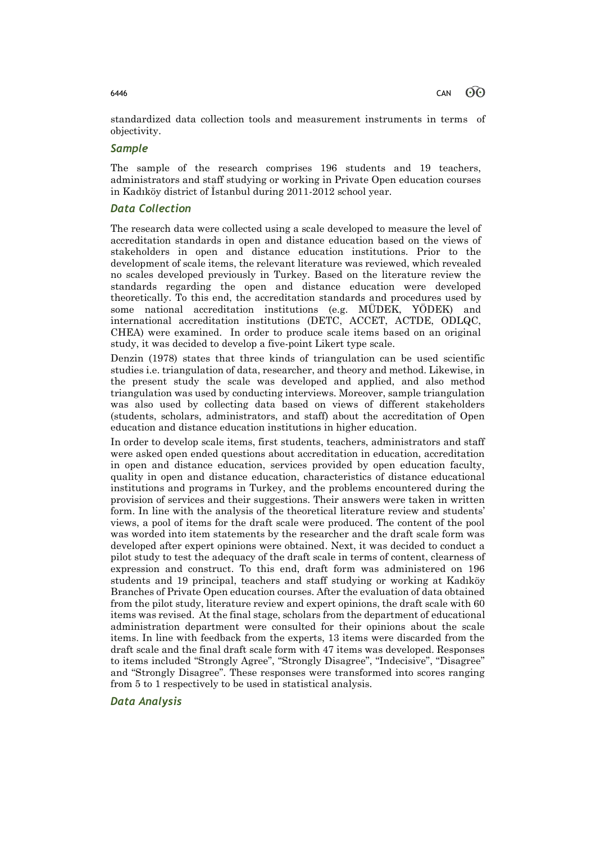standardized data collection tools and measurement instruments in terms of objectivity.

# *Sample*

The sample of the research comprises 196 students and 19 teachers, administrators and staff studying or working in Private Open education courses in Kadıköy district of İstanbul during 2011-2012 school year.

# *Data Collection*

The research data were collected using a scale developed to measure the level of accreditation standards in open and distance education based on the views of stakeholders in open and distance education institutions. Prior to the development of scale items, the relevant literature was reviewed, which revealed no scales developed previously in Turkey. Based on the literature review the standards regarding the open and distance education were developed theoretically. To this end, the accreditation standards and procedures used by some national accreditation institutions (e.g. MÜDEK, YÖDEK) and international accreditation institutions (DETC, ACCET, ACTDE, ODLQC, CHEA) were examined. In order to produce scale items based on an original study, it was decided to develop a five-point Likert type scale.

Denzin (1978) states that three kinds of triangulation can be used scientific studies i.e. triangulation of data, researcher, and theory and method. Likewise, in the present study the scale was developed and applied, and also method triangulation was used by conducting interviews. Moreover, sample triangulation was also used by collecting data based on views of different stakeholders (students, scholars, administrators, and staff) about the accreditation of Open education and distance education institutions in higher education.

In order to develop scale items, first students, teachers, administrators and staff were asked open ended questions about accreditation in education, accreditation in open and distance education, services provided by open education faculty, quality in open and distance education, characteristics of distance educational institutions and programs in Turkey, and the problems encountered during the provision of services and their suggestions. Their answers were taken in written form. In line with the analysis of the theoretical literature review and students' views, a pool of items for the draft scale were produced. The content of the pool was worded into item statements by the researcher and the draft scale form was developed after expert opinions were obtained. Next, it was decided to conduct a pilot study to test the adequacy of the draft scale in terms of content, clearness of expression and construct. To this end, draft form was administered on 196 students and 19 principal, teachers and staff studying or working at Kadıköy Branches of Private Open education courses. After the evaluation of data obtained from the pilot study, literature review and expert opinions, the draft scale with 60 items was revised. At the final stage, scholars from the department of educational administration department were consulted for their opinions about the scale items. In line with feedback from the experts, 13 items were discarded from the draft scale and the final draft scale form with 47 items was developed. Responses to items included "Strongly Agree", "Strongly Disagree", "Indecisive", "Disagree" and "Strongly Disagree". These responses were transformed into scores ranging from 5 to 1 respectively to be used in statistical analysis.

# *Data Analysis*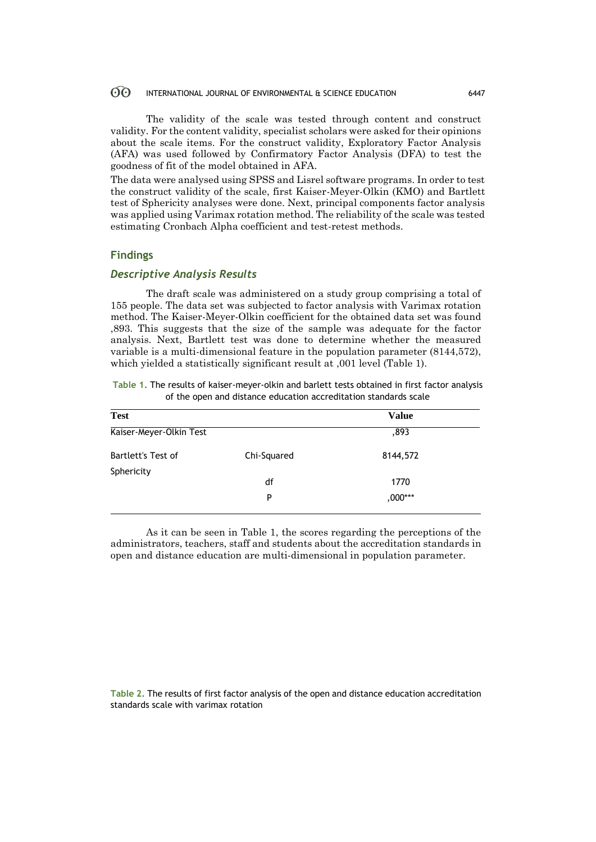The validity of the scale was tested through content and construct validity. For the content validity, specialist scholars were asked for their opinions about the scale items. For the construct validity, Exploratory Factor Analysis (AFA) was used followed by Confirmatory Factor Analysis (DFA) to test the goodness of fit of the model obtained in AFA.

The data were analysed using SPSS and Lisrel software programs. In order to test the construct validity of the scale, first Kaiser-Meyer-Olkin (KMO) and Bartlett test of Sphericity analyses were done. Next, principal components factor analysis was applied using Varimax rotation method. The reliability of the scale was tested estimating Cronbach Alpha coefficient and test-retest methods.

# **Findings**

### *Descriptive Analysis Results*

The draft scale was administered on a study group comprising a total of 155 people. The data set was subjected to factor analysis with Varimax rotation method. The Kaiser-Meyer-Olkin coefficient for the obtained data set was found ,893. This suggests that the size of the sample was adequate for the factor analysis. Next, Bartlett test was done to determine whether the measured variable is a multi-dimensional feature in the population parameter (8144,572), which yielded a statistically significant result at ,001 level (Table 1).

| Table 1. The results of kaiser-meyer-olkin and barlett tests obtained in first factor analysis |  |
|------------------------------------------------------------------------------------------------|--|
| of the open and distance education accreditation standards scale                               |  |

| <b>Test</b>             |             | <b>Value</b> |  |
|-------------------------|-------------|--------------|--|
| Kaiser-Meyer-Olkin Test |             | ,893         |  |
| Bartlett's Test of      | Chi-Squared | 8144,572     |  |
| Sphericity              | df          | 1770         |  |
|                         | P           | ,000***      |  |

As it can be seen in Table 1, the scores regarding the perceptions of the administrators, teachers, staff and students about the accreditation standards in open and distance education are multi-dimensional in population parameter.

**Table 2.** The results of first factor analysis of the open and distance education accreditation standards scale with varimax rotation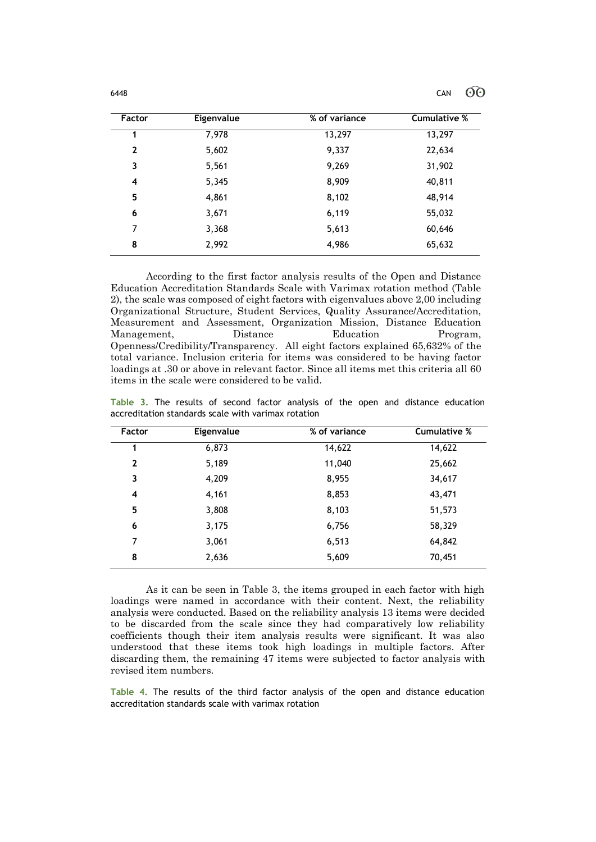| Factor       | Eigenvalue | % of variance | <b>Cumulative %</b> |
|--------------|------------|---------------|---------------------|
| 1            | 7,978      | 13,297        | 13,297              |
| $\mathbf{2}$ | 5,602      | 9,337         | 22,634              |
| 3            | 5,561      | 9,269         | 31,902              |
| 4            | 5,345      | 8,909         | 40,811              |
| 5            | 4,861      | 8,102         | 48,914              |
| 6            | 3,671      | 6,119         | 55,032              |
| 7            | 3,368      | 5,613         | 60,646              |
| 8            | 2,992      | 4,986         | 65,632              |

According to the first factor analysis results of the Open and Distance Education Accreditation Standards Scale with Varimax rotation method (Table 2), the scale was composed of eight factors with eigenvalues above 2,00 including Organizational Structure, Student Services, Quality Assurance/Accreditation, Measurement and Assessment, Organization Mission, Distance Education Management, Distance Education Program, Openness/Credibility/Transparency.All eight factors explained 65,632% of the total variance. Inclusion criteria for items was considered to be having factor loadings at .30 or above in relevant factor. Since all items met this criteria all 60 items in the scale were considered to be valid.

**Table 3.** The results of second factor analysis of the open and distance education accreditation standards scale with varimax rotation

| Factor       | Eigenvalue | % of variance | <b>Cumulative %</b> |
|--------------|------------|---------------|---------------------|
| 1            | 6,873      | 14,622        | 14,622              |
| $\mathbf{2}$ | 5,189      | 11,040        | 25,662              |
| 3            | 4,209      | 8,955         | 34,617              |
| 4            | 4,161      | 8,853         | 43,471              |
| 5            | 3,808      | 8,103         | 51,573              |
| 6            | 3,175      | 6,756         | 58,329              |
| 7            | 3,061      | 6,513         | 64,842              |
| 8            | 2,636      | 5,609         | 70,451              |

As it can be seen in Table 3, the items grouped in each factor with high loadings were named in accordance with their content. Next, the reliability analysis were conducted. Based on the reliability analysis 13 items were decided to be discarded from the scale since they had comparatively low reliability coefficients though their item analysis results were significant. It was also understood that these items took high loadings in multiple factors. After discarding them, the remaining 47 items were subjected to factor analysis with revised item numbers.

**Table 4.** The results of the third factor analysis of the open and distance education accreditation standards scale with varimax rotation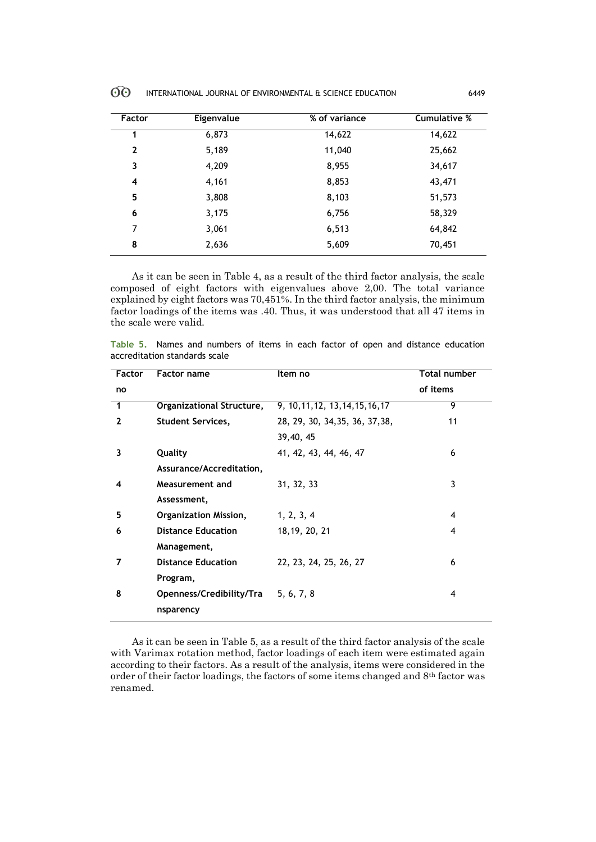| $\Theta$ | INTERNATIONAL JOURNAL OF ENVIRONMENTAL & SCIENCE EDUCATION | 6449 |
|----------|------------------------------------------------------------|------|
|----------|------------------------------------------------------------|------|

| <b>Factor</b> | Eigenvalue | % of variance | <b>Cumulative %</b> |
|---------------|------------|---------------|---------------------|
| 1             | 6,873      | 14,622        | 14,622              |
| $\mathbf{2}$  | 5,189      | 11,040        | 25,662              |
| 3             | 4,209      | 8,955         | 34,617              |
| 4             | 4,161      | 8,853         | 43,471              |
| 5             | 3,808      | 8,103         | 51,573              |
| 6             | 3,175      | 6,756         | 58,329              |
| 7             | 3,061      | 6,513         | 64,842              |
| 8             | 2,636      | 5,609         | 70,451              |

As it can be seen in Table 4, as a result of the third factor analysis, the scale composed of eight factors with eigenvalues above 2,00. The total variance explained by eight factors was 70,451%. In the third factor analysis, the minimum factor loadings of the items was .40. Thus, it was understood that all 47 items in the scale were valid.

|  |                               |  |  |  |  |  | Table 5. Names and numbers of items in each factor of open and distance education |
|--|-------------------------------|--|--|--|--|--|-----------------------------------------------------------------------------------|
|  | accreditation standards scale |  |  |  |  |  |                                                                                   |

| Factor       | <b>Factor name</b>        | Item no                           | Total number |
|--------------|---------------------------|-----------------------------------|--------------|
| no           |                           |                                   | of items     |
| $\mathbf{1}$ | Organizational Structure, | 9, 10, 11, 12, 13, 14, 15, 16, 17 | 9            |
| $\mathbf{2}$ | <b>Student Services,</b>  | 28, 29, 30, 34, 35, 36, 37, 38,   | 11           |
|              |                           | 39,40,45                          |              |
| 3            | Quality                   | 41, 42, 43, 44, 46, 47            | 6            |
|              | Assurance/Accreditation,  |                                   |              |
| 4            | Measurement and           | 31, 32, 33                        | 3            |
|              | Assessment,               |                                   |              |
| 5            | Organization Mission,     | 1, 2, 3, 4                        | 4            |
| 6            | <b>Distance Education</b> | 18, 19, 20, 21                    | 4            |
|              | Management,               |                                   |              |
| 7            | <b>Distance Education</b> | 22, 23, 24, 25, 26, 27            | 6            |
|              | Program,                  |                                   |              |
| 8            | Openness/Credibility/Tra  | 5, 6, 7, 8                        | 4            |
|              | nsparency                 |                                   |              |

As it can be seen in Table 5, as a result of the third factor analysis of the scale with Varimax rotation method, factor loadings of each item were estimated again according to their factors. As a result of the analysis, items were considered in the order of their factor loadings, the factors of some items changed and 8th factor was renamed.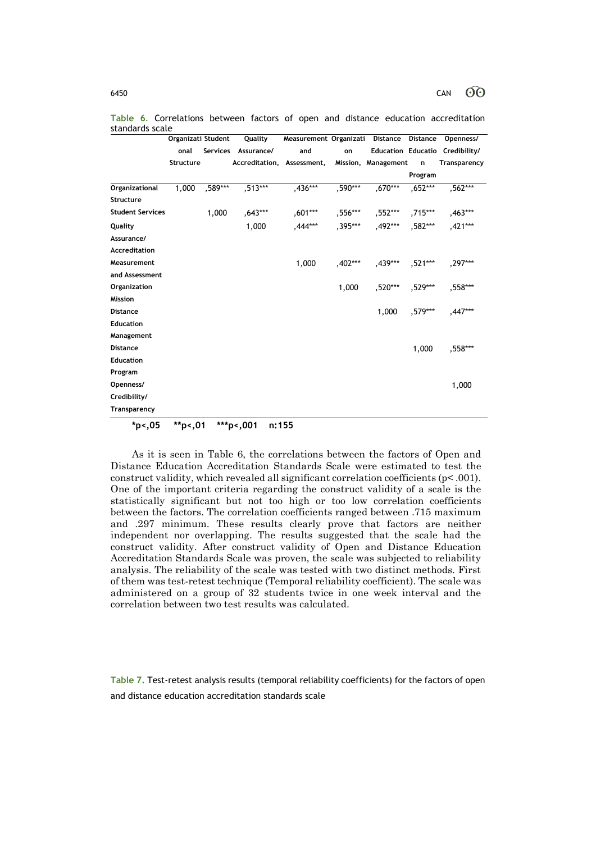|                         | Organizati Student |         | Quality                                        | Measurement Organizati Distance |         |                                         |           | Distance Openness/              |
|-------------------------|--------------------|---------|------------------------------------------------|---------------------------------|---------|-----------------------------------------|-----------|---------------------------------|
|                         | onal               |         | Services Assurance/                            | and                             | on      |                                         |           | Education Educatio Credibility/ |
|                         | Structure          |         | Accreditation, Assessment, Mission, Management |                                 |         |                                         | n         | Transparency                    |
|                         |                    |         |                                                |                                 |         |                                         | Program   |                                 |
| Organizational          | 1,000              | ,589*** | $,513***$                                      | $,436***$                       | ,590*** | $,670***$                               | $,652***$ | $,562***$                       |
| <b>Structure</b>        |                    |         |                                                |                                 |         |                                         |           |                                 |
| <b>Student Services</b> |                    | 1,000   | ,643***                                        |                                 |         | ,601*** ,556*** ,552*** ,715*** ,463*** |           |                                 |
| Quality                 |                    |         | 1,000                                          | ,444***                         | ,395*** | ,492*** ,582*** ,421***                 |           |                                 |
| Assurance/              |                    |         |                                                |                                 |         |                                         |           |                                 |
| Accreditation           |                    |         |                                                |                                 |         |                                         |           |                                 |
| Measurement             |                    |         |                                                | 1,000                           | ,402*** | ,439*** ,521***                         |           | ,297***                         |
| and Assessment          |                    |         |                                                |                                 |         |                                         |           |                                 |
| Organization            |                    |         |                                                |                                 | 1,000   |                                         |           | ,520*** ,529*** ,558***         |
| <b>Mission</b>          |                    |         |                                                |                                 |         |                                         |           |                                 |
| <b>Distance</b>         |                    |         |                                                |                                 |         | 1,000                                   |           | ,579***  ,447***                |
| <b>Education</b>        |                    |         |                                                |                                 |         |                                         |           |                                 |
| Management              |                    |         |                                                |                                 |         |                                         |           |                                 |
| <b>Distance</b>         |                    |         |                                                |                                 |         |                                         | 1,000     | ,558***                         |
| <b>Education</b>        |                    |         |                                                |                                 |         |                                         |           |                                 |
| Program                 |                    |         |                                                |                                 |         |                                         |           |                                 |
| Openness/               |                    |         |                                                |                                 |         |                                         |           | 1,000                           |
| Credibility/            |                    |         |                                                |                                 |         |                                         |           |                                 |
| Transparency            |                    |         |                                                |                                 |         |                                         |           |                                 |

**Table 6**. Correlations between factors of open and distance education accreditation standards scale

**\*p<,05 \*\*p<,01 \*\*\*p<,001 n:155**

As it is seen in Table 6, the correlations between the factors of Open and Distance Education Accreditation Standards Scale were estimated to test the construct validity, which revealed all significant correlation coefficients (p< .001). One of the important criteria regarding the construct validity of a scale is the statistically significant but not too high or too low correlation coefficients between the factors. The correlation coefficients ranged between .715 maximum and .297 minimum. These results clearly prove that factors are neither independent nor overlapping. The results suggested that the scale had the construct validity. After construct validity of Open and Distance Education Accreditation Standards Scale was proven, the scale was subjected to reliability analysis. The reliability of the scale was tested with two distinct methods. First of them was test-retest technique (Temporal reliability coefficient). The scale was administered on a group of 32 students twice in one week interval and the correlation between two test results was calculated.

**Table 7.** Test-retest analysis results (temporal reliability coefficients) for the factors of open and distance education accreditation standards scale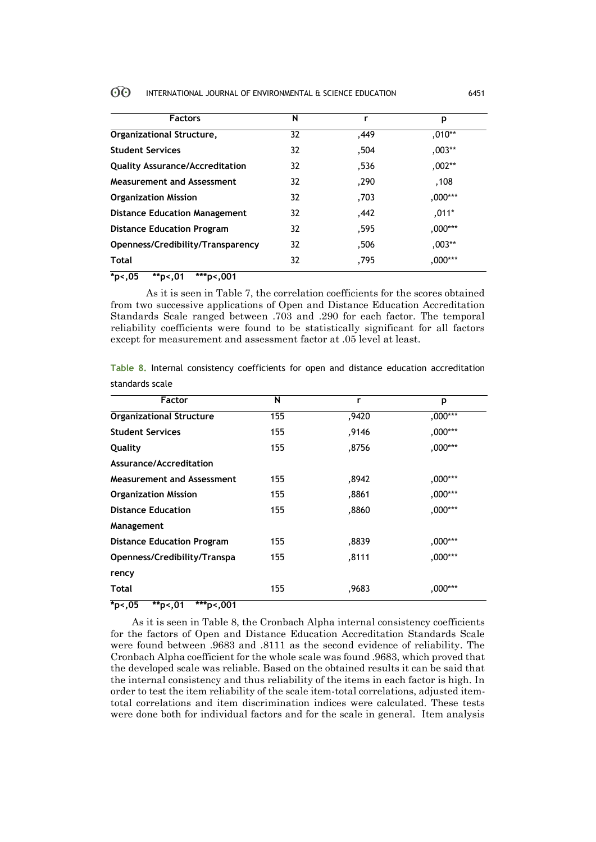| <b>Factors</b>                          | N  | r    | p         |
|-----------------------------------------|----|------|-----------|
| Organizational Structure,               | 32 | ,449 | $.010**$  |
| <b>Student Services</b>                 | 32 | .504 | $,003**$  |
| <b>Quality Assurance/Accreditation</b>  | 32 | .536 | $,002**$  |
| Measurement and Assessment              | 32 | ,290 | .108      |
| <b>Organization Mission</b>             | 32 | ,703 | $,000***$ |
| <b>Distance Education Management</b>    | 32 | .442 | $,011*$   |
| <b>Distance Education Program</b>       | 32 | .595 | $,000***$ |
| Openness/Credibility/Transparency       | 32 | ,506 | $,003**$  |
| <b>Total</b>                            | 32 | ,795 | ,000***   |
| $*_{p<.05}$<br>***p<,001<br>$*_{p<,01}$ |    |      |           |

As it is seen in Table 7, the correlation coefficients for the scores obtained from two successive applications of Open and Distance Education Accreditation Standards Scale ranged between .703 and .290 for each factor. The temporal reliability coefficients were found to be statistically significant for all factors except for measurement and assessment factor at .05 level at least.

**Table 8.** Internal consistency coefficients for open and distance education accreditation standards scale

| <b>Factor</b>                                             | N   | r     | p         |
|-----------------------------------------------------------|-----|-------|-----------|
| <b>Organizational Structure</b>                           | 155 | ,9420 | $,000***$ |
| <b>Student Services</b>                                   | 155 | ,9146 | ,000***   |
| Quality                                                   | 155 | ,8756 | ,000***   |
| Assurance/Accreditation                                   |     |       |           |
| <b>Measurement and Assessment</b>                         | 155 | .8942 | ,000***   |
| <b>Organization Mission</b>                               | 155 | ,8861 | ,000***   |
| <b>Distance Education</b>                                 | 155 | ,8860 | ,000***   |
| Management                                                |     |       |           |
| <b>Distance Education Program</b>                         | 155 | ,8839 | ,000***   |
| Openness/Credibility/Transpa                              | 155 | ,8111 | ,000***   |
| rency                                                     |     |       |           |
| Total                                                     | 155 | .9683 | ,000***   |
| * ^ <b>r</b><br>مقدمات<br>مقدماه ماله<br>$\sim$<br>$\sim$ |     |       |           |

**\*p<,05 \*\*p<,01 \*\*\*p<,001**

As it is seen in Table 8, the Cronbach Alpha internal consistency coefficients for the factors of Open and Distance Education Accreditation Standards Scale were found between .9683 and .8111 as the second evidence of reliability. The Cronbach Alpha coefficient for the whole scale was found .9683, which proved that the developed scale was reliable. Based on the obtained results it can be said that the internal consistency and thus reliability of the items in each factor is high. In order to test the item reliability of the scale item-total correlations, adjusted itemtotal correlations and item discrimination indices were calculated. These tests were done both for individual factors and for the scale in general. Item analysis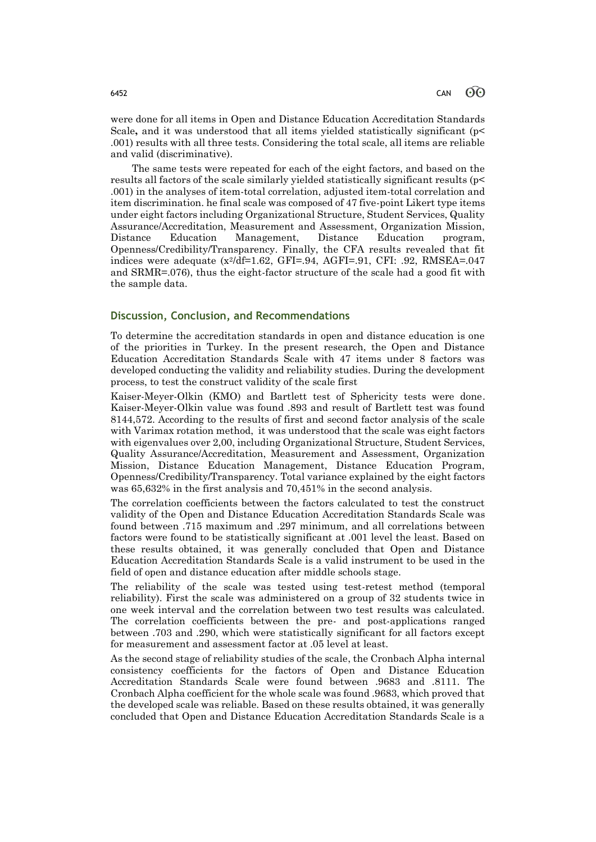were done for all items in Open and Distance Education Accreditation Standards Scale, and it was understood that all items yielded statistically significant (p .001) results with all three tests. Considering the total scale, all items are reliable and valid (discriminative).

The same tests were repeated for each of the eight factors, and based on the results all factors of the scale similarly yielded statistically significant results (p< .001) in the analyses of item-total correlation, adjusted item-total correlation and item discrimination. he final scale was composed of 47 five-point Likert type items under eight factors including Organizational Structure, Student Services, Quality Assurance/Accreditation, Measurement and Assessment, Organization Mission, Distance Education Management, Distance Education program, Openness/Credibility/Transparency. Finally, the CFA results revealed that fit indices were adequate  $(x^2/df=1.62, GFI=0.94, AGFI=0.91, CFI: 0.92, RMSEA=0.047$ and SRMR=.076), thus the eight-factor structure of the scale had a good fit with the sample data.

### **Discussion, Conclusion, and Recommendations**

To determine the accreditation standards in open and distance education is one of the priorities in Turkey. In the present research, the Open and Distance Education Accreditation Standards Scale with 47 items under 8 factors was developed conducting the validity and reliability studies. During the development process, to test the construct validity of the scale first

Kaiser-Meyer-Olkin (KMO) and Bartlett test of Sphericity tests were done. Kaiser-Meyer-Olkin value was found .893 and result of Bartlett test was found 8144,572. According to the results of first and second factor analysis of the scale with Varimax rotation method, it was understood that the scale was eight factors with eigenvalues over 2,00, including Organizational Structure, Student Services, Quality Assurance/Accreditation, Measurement and Assessment, Organization Mission, Distance Education Management, Distance Education Program, Openness/Credibility/Transparency. Total variance explained by the eight factors was 65,632% in the first analysis and 70,451% in the second analysis.

The correlation coefficients between the factors calculated to test the construct validity of the Open and Distance Education Accreditation Standards Scale was found between .715 maximum and .297 minimum, and all correlations between factors were found to be statistically significant at .001 level the least. Based on these results obtained, it was generally concluded that Open and Distance Education Accreditation Standards Scale is a valid instrument to be used in the field of open and distance education after middle schools stage.

The reliability of the scale was tested using test-retest method (temporal reliability). First the scale was administered on a group of 32 students twice in one week interval and the correlation between two test results was calculated. The correlation coefficients between the pre- and post-applications ranged between .703 and .290, which were statistically significant for all factors except for measurement and assessment factor at .05 level at least.

As the second stage of reliability studies of the scale, the Cronbach Alpha internal consistency coefficients for the factors of Open and Distance Education Accreditation Standards Scale were found between .9683 and .8111. The Cronbach Alpha coefficient for the whole scale was found .9683, which proved that the developed scale was reliable. Based on these results obtained, it was generally concluded that Open and Distance Education Accreditation Standards Scale is a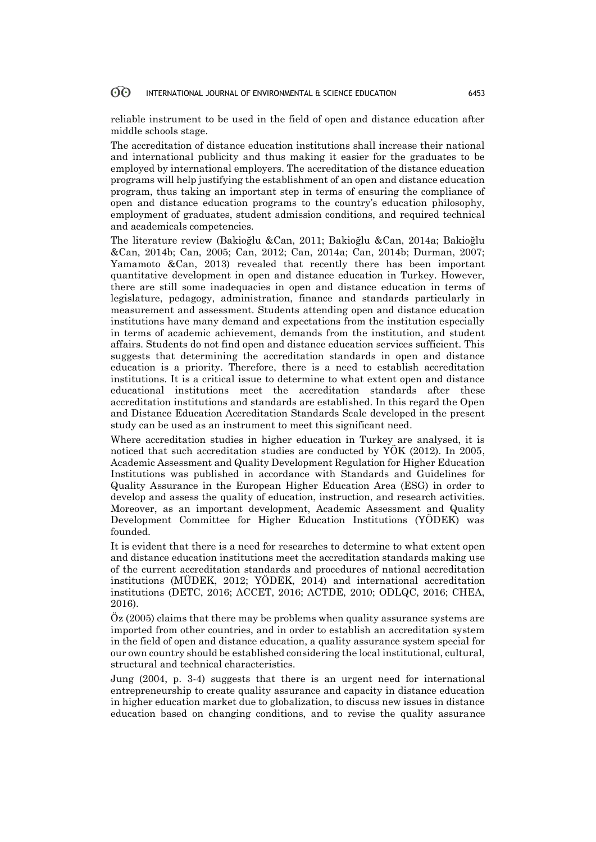reliable instrument to be used in the field of open and distance education after middle schools stage.

The accreditation of distance education institutions shall increase their national and international publicity and thus making it easier for the graduates to be employed by international employers. The accreditation of the distance education programs will help justifying the establishment of an open and distance education program, thus taking an important step in terms of ensuring the compliance of open and distance education programs to the country's education philosophy, employment of graduates, student admission conditions, and required technical and academicals competencies.

The literature review (Bakioğlu &Can, 2011; Bakioğlu &Can, 2014a; Bakioğlu &Can, 2014b; Can, 2005; Can, 2012; Can, 2014a; Can, 2014b; Durman, 2007; Yamamoto &Can, 2013) revealed that recently there has been important quantitative development in open and distance education in Turkey. However, there are still some inadequacies in open and distance education in terms of legislature, pedagogy, administration, finance and standards particularly in measurement and assessment. Students attending open and distance education institutions have many demand and expectations from the institution especially in terms of academic achievement, demands from the institution, and student affairs. Students do not find open and distance education services sufficient. This suggests that determining the accreditation standards in open and distance education is a priority. Therefore, there is a need to establish accreditation institutions. It is a critical issue to determine to what extent open and distance educational institutions meet the accreditation standards after these accreditation institutions and standards are established. In this regard the Open and Distance Education Accreditation Standards Scale developed in the present study can be used as an instrument to meet this significant need.

Where accreditation studies in higher education in Turkey are analysed, it is noticed that such accreditation studies are conducted by YÖK (2012). In 2005, Academic Assessment and Quality Development Regulation for Higher Education Institutions was published in accordance with Standards and Guidelines for Quality Assurance in the European Higher Education Area (ESG) in order to develop and assess the quality of education, instruction, and research activities. Moreover, as an important development, Academic Assessment and Quality Development Committee for Higher Education Institutions (YÖDEK) was founded.

It is evident that there is a need for researches to determine to what extent open and distance education institutions meet the accreditation standards making use of the current accreditation standards and procedures of national accreditation institutions (MÜDEK, 2012; YÖDEK, 2014) and international accreditation institutions (DETC, 2016; ACCET, 2016; ACTDE, 2010; ODLQC, 2016; CHEA, 2016).

Öz (2005) claims that there may be problems when quality assurance systems are imported from other countries, and in order to establish an accreditation system in the field of open and distance education, a quality assurance system special for our own country should be established considering the local institutional, cultural, structural and technical characteristics.

Jung (2004, p. 3-4) suggests that there is an urgent need for international entrepreneurship to create quality assurance and capacity in distance education in higher education market due to globalization, to discuss new issues in distance education based on changing conditions, and to revise the quality assurance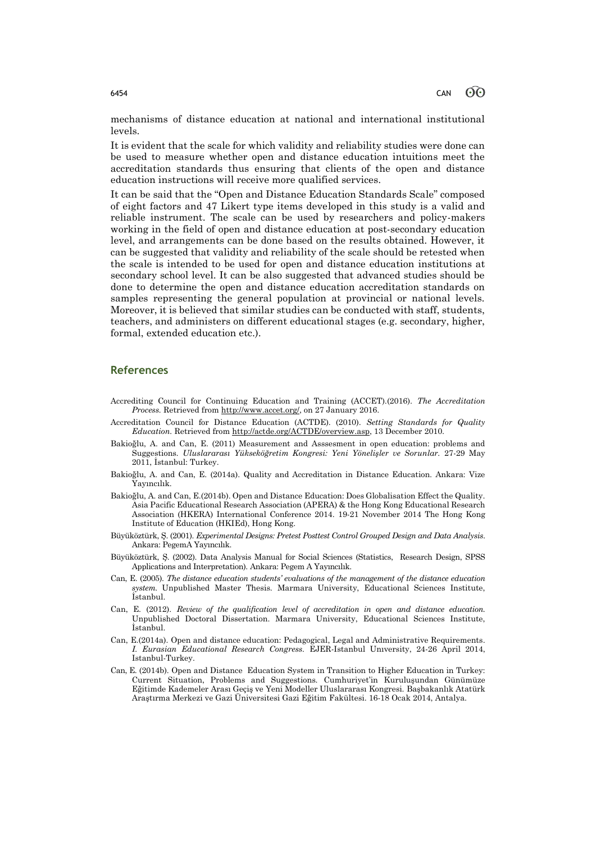mechanisms of distance education at national and international institutional levels.

It is evident that the scale for which validity and reliability studies were done can be used to measure whether open and distance education intuitions meet the accreditation standards thus ensuring that clients of the open and distance education instructions will receive more qualified services.

It can be said that the "Open and Distance Education Standards Scale" composed of eight factors and 47 Likert type items developed in this study is a valid and reliable instrument. The scale can be used by researchers and policy-makers working in the field of open and distance education at post-secondary education level, and arrangements can be done based on the results obtained. However, it can be suggested that validity and reliability of the scale should be retested when the scale is intended to be used for open and distance education institutions at secondary school level. It can be also suggested that advanced studies should be done to determine the open and distance education accreditation standards on samples representing the general population at provincial or national levels. Moreover, it is believed that similar studies can be conducted with staff, students, teachers, and administers on different educational stages (e.g. secondary, higher, formal, extended education etc.).

### **References**

- Accrediting Council for Continuing Education and Training (ACCET).(2016). *The Accreditation Process.* Retrieved from [http://www.accet.org/,](http://www.accet.org/) on 27 January 2016.
- Accreditation Council for Distance Education (ACTDE). (2010). *Setting Standards for Quality Education.* Retrieved from [http://actde.org/ACTDE/overview.asp,](http://actde.org/ACTDE/overview.asp) 13 December 2010.
- Bakioğlu, A. and Can, E. (2011) Measurement and Asssesment in open education: problems and Suggestions*. Uluslararası Yükseköğretim Kongresi: Yeni Yönelişler ve Sorunlar.* 27-29 May 2011, İstanbul: Turkey.
- Bakioğlu, A. and Can, E. (2014a). Quality and Accreditation in Distance Education. Ankara: Vize Yayıncılık.
- Bakioğlu, A. and Can, E.(2014b). Open and Distance Education: Does Globalisation Effect the Quality. Asia Pacific Educational Research Association (APERA) & the Hong Kong Educational Research Association (HKERA) International Conference 2014. 19-21 November 2014 The Hong Kong Institute of Education (HKIEd), Hong Kong.
- Büyüköztürk, Ş. (2001). *Experimental Designs: Pretest Posttest Control Grouped Design and Data Analysis*. Ankara: PegemA Yayıncılık.
- Büyüköztürk, Ş. (2002). Data Analysis Manual for Social Sciences (Statistics, Research Design, SPSS Applications and Interpretation). Ankara: Pegem A Yayıncılık.
- Can, E. (2005). *The distance education students' evaluations of the management of the distance education system.* Unpublished Master Thesis. Marmara University, Educational Sciences Institute, İstanbul.
- Can, E. (2012). *Review of the qualification level of accreditation in open and distance education.* Unpublished Doctoral Dissertation. Marmara University, Educational Sciences Institute, İstanbul.
- Can, E.(2014a). Open and distance education: Pedagogical, Legal and Administrative Requirements. *I. Eurasian Educational Research Congress.* EJER-Istanbul Unıversity, 24-26 April 2014, Istanbul-Turkey.
- Can, E. (2014b). Open and Distance Education System in Transition to Higher Education in Turkey: Current Situation, Problems and Suggestions. Cumhuriyet'in Kuruluşundan Günümüze Eğitimde Kademeler Arası Geçiş ve Yeni Modeller Uluslararası Kongresi. Başbakanlık Atatürk Araştırma Merkezi ve Gazi Üniversitesi Gazi Eğitim Fakültesi. 16-18 Ocak 2014, Antalya.